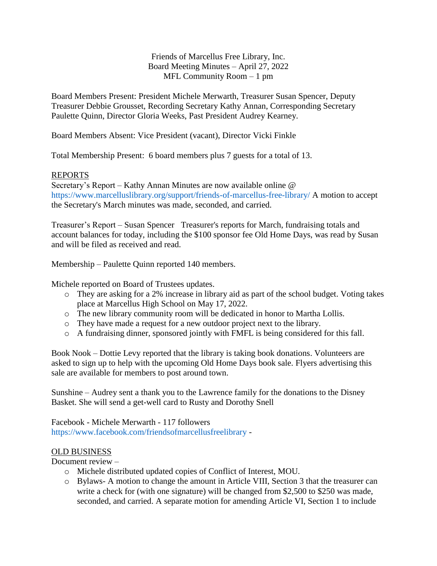Friends of Marcellus Free Library, Inc. Board Meeting Minutes – April 27, 2022 MFL Community Room – 1 pm

Board Members Present: President Michele Merwarth, Treasurer Susan Spencer, Deputy Treasurer Debbie Grousset, Recording Secretary Kathy Annan, Corresponding Secretary Paulette Quinn, Director Gloria Weeks, Past President Audrey Kearney.

Board Members Absent: Vice President (vacant), Director Vicki Finkle

Total Membership Present: 6 board members plus 7 guests for a total of 13.

## REPORTS

Secretary's Report – Kathy Annan Minutes are now available online @ https://www.marcelluslibrary.org/support/friends-of-marcellus-free-library/ A motion to accept the Secretary's March minutes was made, seconded, and carried.

Treasurer's Report – Susan Spencer Treasurer's reports for March, fundraising totals and account balances for today, including the \$100 sponsor fee Old Home Days, was read by Susan and will be filed as received and read.

Membership – Paulette Quinn reported 140 members.

Michele reported on Board of Trustees updates.

- o They are asking for a 2% increase in library aid as part of the school budget. Voting takes place at Marcellus High School on May 17, 2022.
- o The new library community room will be dedicated in honor to Martha Lollis.
- o They have made a request for a new outdoor project next to the library.
- o A fundraising dinner, sponsored jointly with FMFL is being considered for this fall.

Book Nook – Dottie Levy reported that the library is taking book donations. Volunteers are asked to sign up to help with the upcoming Old Home Days book sale. Flyers advertising this sale are available for members to post around town.

Sunshine – Audrey sent a thank you to the Lawrence family for the donations to the Disney Basket. She will send a get-well card to Rusty and Dorothy Snell

Facebook - Michele Merwarth - 117 followers <https://www.facebook.com/friendsofmarcellusfreelibrary> [-](https://www.facebook.com/friendsofmarcellusfreelibrary)

## OLD BUSINESS

Document review –

- o Michele distributed updated copies of Conflict of Interest, MOU.
- o Bylaws- A motion to change the amount in Article VIII, Section 3 that the treasurer can write a check for (with one signature) will be changed from \$2,500 to \$250 was made, seconded, and carried. A separate motion for amending Article VI, Section 1 to include